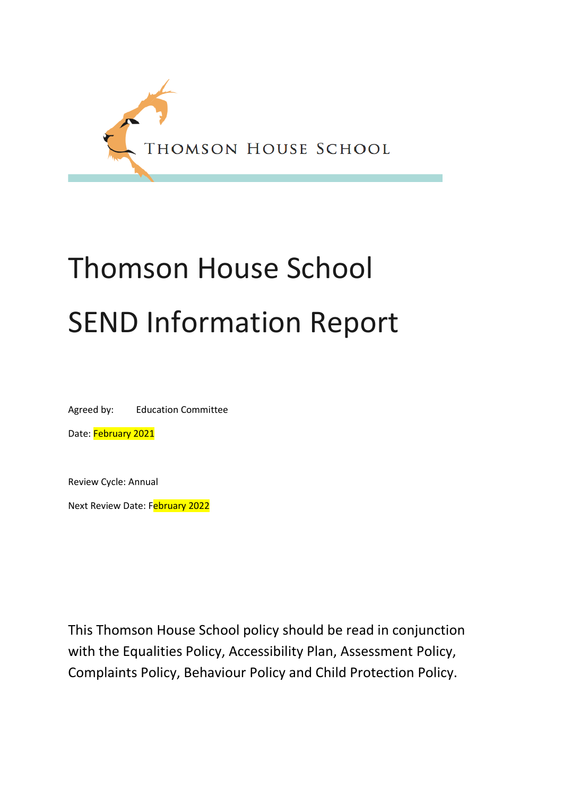

# Thomson House School SEND Information Report

Agreed by: Education Committee

Date: February 2021

Review Cycle: Annual

Next Review Date: February 2022

This Thomson House School policy should be read in conjunction with the Equalities Policy, Accessibility Plan, Assessment Policy, Complaints Policy, Behaviour Policy and Child Protection Policy.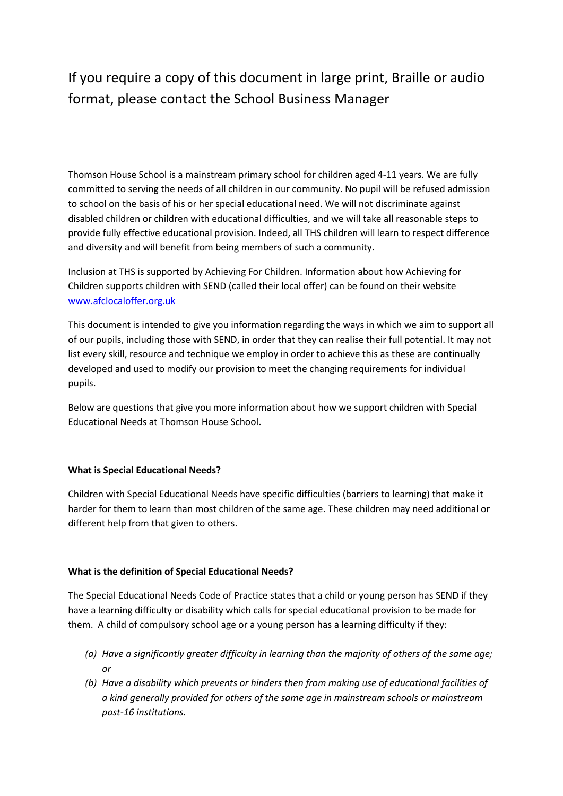## If you require a copy of this document in large print, Braille or audio format, please contact the School Business Manager

Thomson House School is a mainstream primary school for children aged 4-11 years. We are fully committed to serving the needs of all children in our community. No pupil will be refused admission to school on the basis of his or her special educational need. We will not discriminate against disabled children or children with educational difficulties, and we will take all reasonable steps to provide fully effective educational provision. Indeed, all THS children will learn to respect difference and diversity and will benefit from being members of such a community.

Inclusion at THS is supported by Achieving For Children. Information about how Achieving for Children supports children with SEND (called their local offer) can be found on their website [www.afclocaloffer.org.uk](http://www.afclocaloffer.org.uk/)

This document is intended to give you information regarding the ways in which we aim to support all of our pupils, including those with SEND, in order that they can realise their full potential. It may not list every skill, resource and technique we employ in order to achieve this as these are continually developed and used to modify our provision to meet the changing requirements for individual pupils.

Below are questions that give you more information about how we support children with Special Educational Needs at Thomson House School.

#### **What is Special Educational Needs?**

Children with Special Educational Needs have specific difficulties (barriers to learning) that make it harder for them to learn than most children of the same age. These children may need additional or different help from that given to others.

#### **What is the definition of Special Educational Needs?**

The Special Educational Needs Code of Practice states that a child or young person has SEND if they have a learning difficulty or disability which calls for special educational provision to be made for them. A child of compulsory school age or a young person has a learning difficulty if they:

- *(a) Have a significantly greater difficulty in learning than the majority of others of the same age; or*
- *(b) Have a disability which prevents or hinders then from making use of educational facilities of a kind generally provided for others of the same age in mainstream schools or mainstream post-16 institutions.*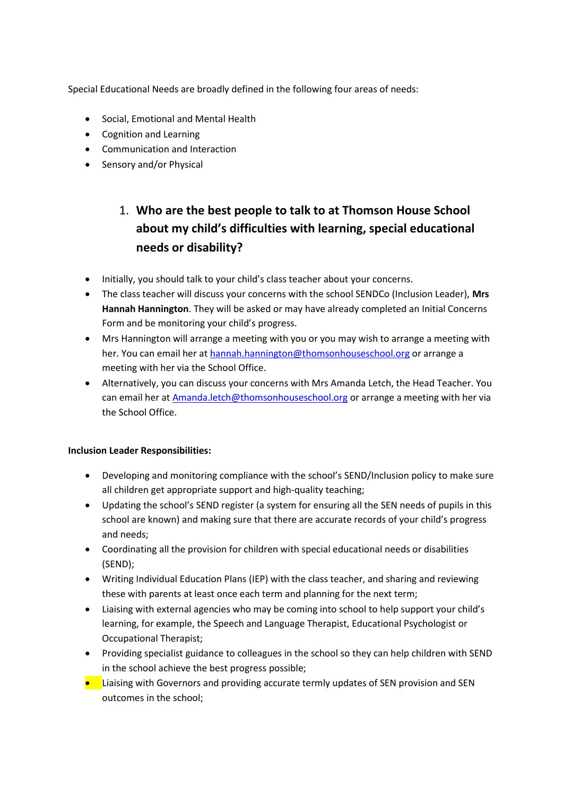Special Educational Needs are broadly defined in the following four areas of needs:

- Social, Emotional and Mental Health
- Cognition and Learning
- Communication and Interaction
- Sensory and/or Physical

## 1. **Who are the best people to talk to at Thomson House School about my child's difficulties with learning, special educational needs or disability?**

- Initially, you should talk to your child's class teacher about your concerns.
- The class teacher will discuss your concerns with the school SENDCo (Inclusion Leader), **Mrs Hannah Hannington**. They will be asked or may have already completed an Initial Concerns Form and be monitoring your child's progress.
- Mrs Hannington will arrange a meeting with you or you may wish to arrange a meeting with her. You can email her at [hannah.hannington@thomsonhouseschool.org](mailto:hannah.hannington@thomsonhouseschool.org) or arrange a meeting with her via the School Office.
- Alternatively, you can discuss your concerns with Mrs Amanda Letch, the Head Teacher. You can email her at [Amanda.letch@thomsonhouseschool.org](mailto:Amanda.letch@thomsonhouseschool.org) or arrange a meeting with her via the School Office.

#### **Inclusion Leader Responsibilities:**

- Developing and monitoring compliance with the school's SEND/Inclusion policy to make sure all children get appropriate support and high-quality teaching;
- Updating the school's SEND register (a system for ensuring all the SEN needs of pupils in this school are known) and making sure that there are accurate records of your child's progress and needs;
- Coordinating all the provision for children with special educational needs or disabilities (SEND);
- Writing Individual Education Plans (IEP) with the class teacher, and sharing and reviewing these with parents at least once each term and planning for the next term;
- Liaising with external agencies who may be coming into school to help support your child's learning, for example, the Speech and Language Therapist, Educational Psychologist or Occupational Therapist;
- Providing specialist guidance to colleagues in the school so they can help children with SEND in the school achieve the best progress possible;
- **•** Liaising with Governors and providing accurate termly updates of SEN provision and SEN outcomes in the school;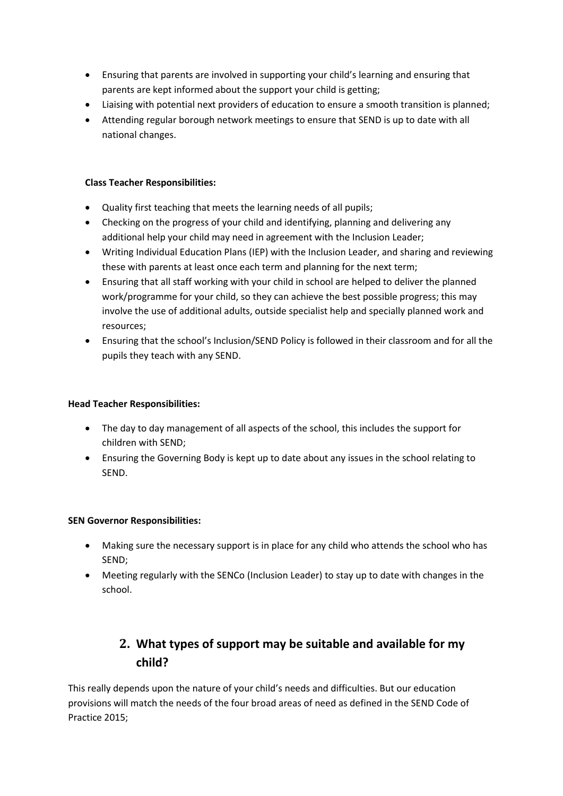- Ensuring that parents are involved in supporting your child's learning and ensuring that parents are kept informed about the support your child is getting;
- Liaising with potential next providers of education to ensure a smooth transition is planned;
- Attending regular borough network meetings to ensure that SEND is up to date with all national changes.

#### **Class Teacher Responsibilities:**

- Quality first teaching that meets the learning needs of all pupils;
- Checking on the progress of your child and identifying, planning and delivering any additional help your child may need in agreement with the Inclusion Leader;
- Writing Individual Education Plans (IEP) with the Inclusion Leader, and sharing and reviewing these with parents at least once each term and planning for the next term;
- Ensuring that all staff working with your child in school are helped to deliver the planned work/programme for your child, so they can achieve the best possible progress; this may involve the use of additional adults, outside specialist help and specially planned work and resources;
- Ensuring that the school's Inclusion/SEND Policy is followed in their classroom and for all the pupils they teach with any SEND.

#### **Head Teacher Responsibilities:**

- The day to day management of all aspects of the school, this includes the support for children with SEND;
- Ensuring the Governing Body is kept up to date about any issues in the school relating to SEND.

#### **SEN Governor Responsibilities:**

- Making sure the necessary support is in place for any child who attends the school who has SEND;
- Meeting regularly with the SENCo (Inclusion Leader) to stay up to date with changes in the school.

## **2. What types of support may be suitable and available for my child?**

This really depends upon the nature of your child's needs and difficulties. But our education provisions will match the needs of the four broad areas of need as defined in the SEND Code of Practice 2015;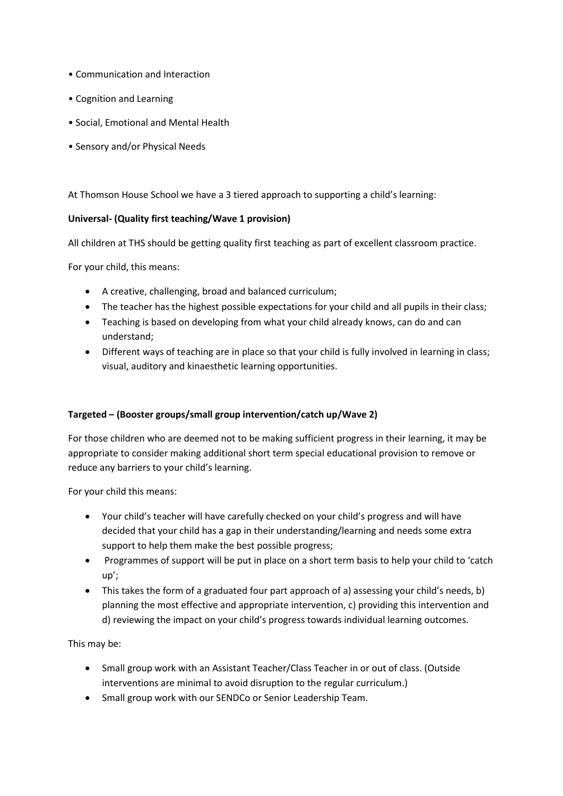- Communication and Interaction
- Cognition and Learning
- Social, Emotional and Mental Health
- Sensory and/or Physical Needs

At Thomson House School we have a 3 tiered approach to supporting a child's learning:

#### **Universal- (Quality first teaching/Wave 1 provision)**

All children at THS should be getting quality first teaching as part of excellent classroom practice.

For your child, this means:

- A creative, challenging, broad and balanced curriculum;
- The teacher has the highest possible expectations for your child and all pupils in their class;
- Teaching is based on developing from what your child already knows, can do and can understand;
- Different ways of teaching are in place so that your child is fully involved in learning in class; visual, auditory and kinaesthetic learning opportunities.

#### **Targeted – (Booster groups/small group intervention/catch up/Wave 2)**

For those children who are deemed not to be making sufficient progress in their learning, it may be appropriate to consider making additional short term special educational provision to remove or reduce any barriers to your child's learning.

For your child this means:

- Your child's teacher will have carefully checked on your child's progress and will have decided that your child has a gap in their understanding/learning and needs some extra support to help them make the best possible progress;
- Programmes of support will be put in place on a short term basis to help your child to 'catch up';
- This takes the form of a graduated four part approach of a) assessing your child's needs, b) planning the most effective and appropriate intervention, c) providing this intervention and d) reviewing the impact on your child's progress towards individual learning outcomes.

This may be:

- Small group work with an Assistant Teacher/Class Teacher in or out of class. (Outside interventions are minimal to avoid disruption to the regular curriculum.)
- Small group work with our SENDCo or Senior Leadership Team.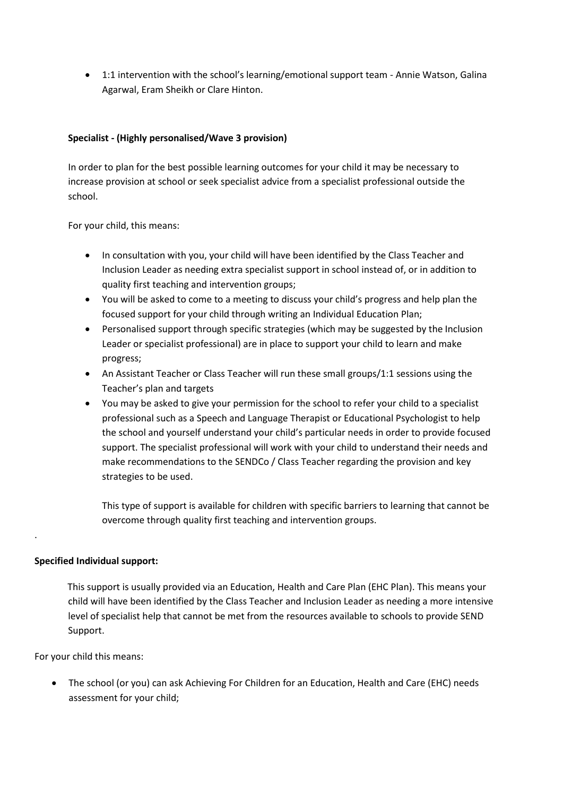1:1 intervention with the school's learning/emotional support team - Annie Watson, Galina Agarwal, Eram Sheikh or Clare Hinton.

#### **Specialist - (Highly personalised/Wave 3 provision)**

In order to plan for the best possible learning outcomes for your child it may be necessary to increase provision at school or seek specialist advice from a specialist professional outside the school.

For your child, this means:

- In consultation with you, your child will have been identified by the Class Teacher and Inclusion Leader as needing extra specialist support in school instead of, or in addition to quality first teaching and intervention groups;
- You will be asked to come to a meeting to discuss your child's progress and help plan the focused support for your child through writing an Individual Education Plan;
- Personalised support through specific strategies (which may be suggested by the Inclusion Leader or specialist professional) are in place to support your child to learn and make progress;
- An Assistant Teacher or Class Teacher will run these small groups/1:1 sessions using the Teacher's plan and targets
- You may be asked to give your permission for the school to refer your child to a specialist professional such as a Speech and Language Therapist or Educational Psychologist to help the school and yourself understand your child's particular needs in order to provide focused support. The specialist professional will work with your child to understand their needs and make recommendations to the SENDCo / Class Teacher regarding the provision and key strategies to be used.

This type of support is available for children with specific barriers to learning that cannot be overcome through quality first teaching and intervention groups.

#### **Specified Individual support:**

.

 This support is usually provided via an Education, Health and Care Plan (EHC Plan). This means your child will have been identified by the Class Teacher and Inclusion Leader as needing a more intensive level of specialist help that cannot be met from the resources available to schools to provide SEND Support.

For your child this means:

 The school (or you) can ask Achieving For Children for an Education, Health and Care (EHC) needs assessment for your child;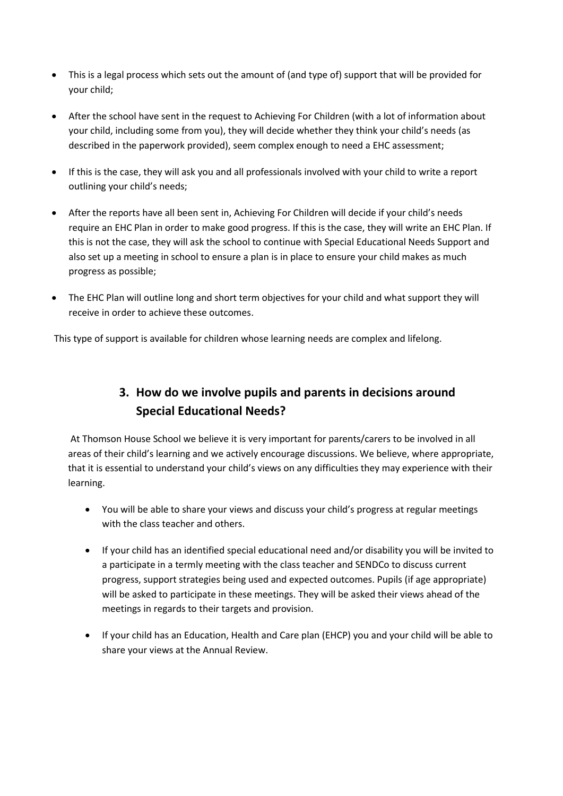- This is a legal process which sets out the amount of (and type of) support that will be provided for your child;
- After the school have sent in the request to Achieving For Children (with a lot of information about your child, including some from you), they will decide whether they think your child's needs (as described in the paperwork provided), seem complex enough to need a EHC assessment;
- If this is the case, they will ask you and all professionals involved with your child to write a report outlining your child's needs;
- After the reports have all been sent in, Achieving For Children will decide if your child's needs require an EHC Plan in order to make good progress. If this is the case, they will write an EHC Plan. If this is not the case, they will ask the school to continue with Special Educational Needs Support and also set up a meeting in school to ensure a plan is in place to ensure your child makes as much progress as possible;
- The EHC Plan will outline long and short term objectives for your child and what support they will receive in order to achieve these outcomes.

This type of support is available for children whose learning needs are complex and lifelong.

## **3. How do we involve pupils and parents in decisions around Special Educational Needs?**

At Thomson House School we believe it is very important for parents/carers to be involved in all areas of their child's learning and we actively encourage discussions. We believe, where appropriate, that it is essential to understand your child's views on any difficulties they may experience with their learning.

- You will be able to share your views and discuss your child's progress at regular meetings with the class teacher and others.
- If your child has an identified special educational need and/or disability you will be invited to a participate in a termly meeting with the class teacher and SENDCo to discuss current progress, support strategies being used and expected outcomes. Pupils (if age appropriate) will be asked to participate in these meetings. They will be asked their views ahead of the meetings in regards to their targets and provision.
- If your child has an Education, Health and Care plan (EHCP) you and your child will be able to share your views at the Annual Review.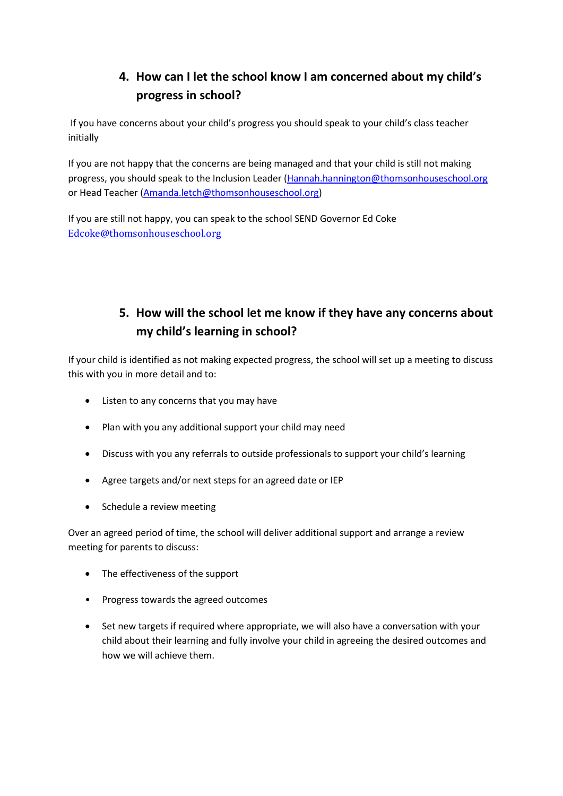## **4. How can I let the school know I am concerned about my child's progress in school?**

If you have concerns about your child's progress you should speak to your child's class teacher initially

If you are not happy that the concerns are being managed and that your child is still not making progress, you should speak to the Inclusion Leader [\(Hannah.hannington@thomsonhouseschool.org](mailto:Hannah.hannington@thomsonhouseschool.org) or Head Teacher [\(Amanda.letch@thomsonhouseschool.org\)](mailto:Amanda.letch@thomsonhouseschool.org)

If you are still not happy, you can speak to the school SEND Governor Ed Coke [Edcoke@thomsonhouseschool.org](mailto:Edcoke@thomsonhouseschool.org) 

## **5. How will the school let me know if they have any concerns about my child's learning in school?**

If your child is identified as not making expected progress, the school will set up a meeting to discuss this with you in more detail and to:

- Listen to any concerns that you may have
- Plan with you any additional support your child may need
- Discuss with you any referrals to outside professionals to support your child's learning
- Agree targets and/or next steps for an agreed date or IEP
- Schedule a review meeting

Over an agreed period of time, the school will deliver additional support and arrange a review meeting for parents to discuss:

- The effectiveness of the support
- Progress towards the agreed outcomes
- Set new targets if required where appropriate, we will also have a conversation with your child about their learning and fully involve your child in agreeing the desired outcomes and how we will achieve them.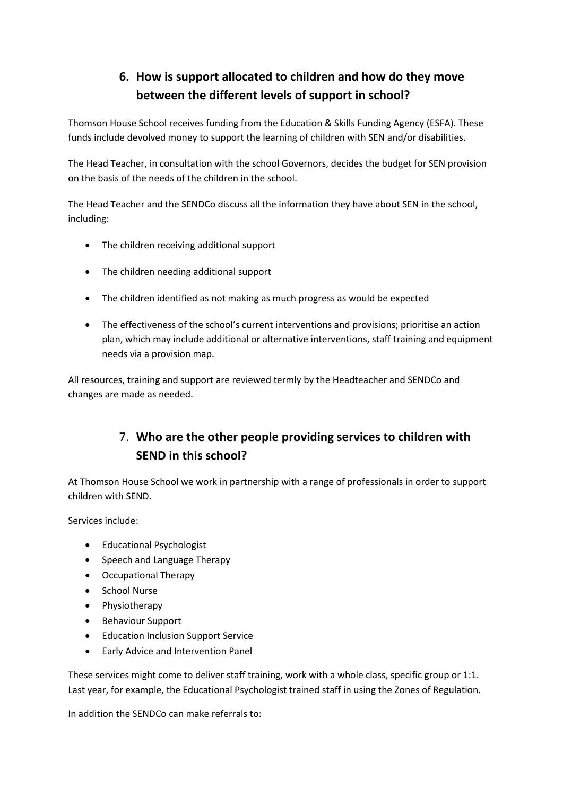## **6. How is support allocated to children and how do they move between the different levels of support in school?**

Thomson House School receives funding from the Education & Skills Funding Agency (ESFA). These funds include devolved money to support the learning of children with SEN and/or disabilities.

The Head Teacher, in consultation with the school Governors, decides the budget for SEN provision on the basis of the needs of the children in the school.

The Head Teacher and the SENDCo discuss all the information they have about SEN in the school, including:

- The children receiving additional support
- The children needing additional support
- The children identified as not making as much progress as would be expected
- The effectiveness of the school's current interventions and provisions; prioritise an action plan, which may include additional or alternative interventions, staff training and equipment needs via a provision map.

All resources, training and support are reviewed termly by the Headteacher and SENDCo and changes are made as needed.

## 7. **Who are the other people providing services to children with SEND in this school?**

At Thomson House School we work in partnership with a range of professionals in order to support children with SEND.

Services include:

- Educational Psychologist
- Speech and Language Therapy
- Occupational Therapy
- School Nurse
- Physiotherapy
- Behaviour Support
- **•** Education Inclusion Support Service
- **•** Early Advice and Intervention Panel

These services might come to deliver staff training, work with a whole class, specific group or 1:1. Last year, for example, the Educational Psychologist trained staff in using the Zones of Regulation.

In addition the SENDCo can make referrals to: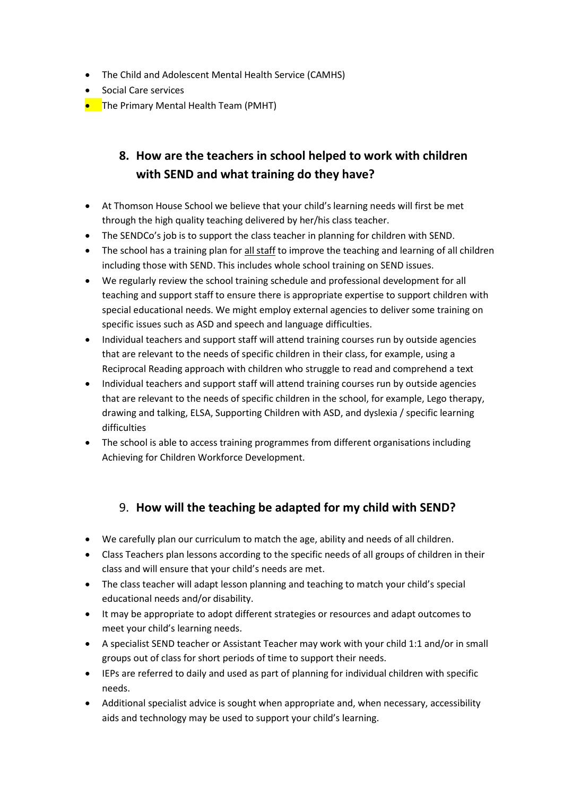- The Child and Adolescent Mental Health Service (CAMHS)
- Social Care services
- **•** The Primary Mental Health Team (PMHT)

## **8. How are the teachers in school helped to work with children with SEND and what training do they have?**

- At Thomson House School we believe that your child's learning needs will first be met through the high quality teaching delivered by her/his class teacher.
- The SENDCo's job is to support the class teacher in planning for children with SEND.
- The school has a training plan for all staff to improve the teaching and learning of all children including those with SEND. This includes whole school training on SEND issues.
- We regularly review the school training schedule and professional development for all teaching and support staff to ensure there is appropriate expertise to support children with special educational needs. We might employ external agencies to deliver some training on specific issues such as ASD and speech and language difficulties.
- Individual teachers and support staff will attend training courses run by outside agencies that are relevant to the needs of specific children in their class, for example, using a Reciprocal Reading approach with children who struggle to read and comprehend a text
- Individual teachers and support staff will attend training courses run by outside agencies that are relevant to the needs of specific children in the school, for example, Lego therapy, drawing and talking, ELSA, Supporting Children with ASD, and dyslexia / specific learning difficulties
- The school is able to access training programmes from different organisations including Achieving for Children Workforce Development.

#### 9. **How will the teaching be adapted for my child with SEND?**

- We carefully plan our curriculum to match the age, ability and needs of all children.
- Class Teachers plan lessons according to the specific needs of all groups of children in their class and will ensure that your child's needs are met.
- The class teacher will adapt lesson planning and teaching to match your child's special educational needs and/or disability.
- It may be appropriate to adopt different strategies or resources and adapt outcomes to meet your child's learning needs.
- A specialist SEND teacher or Assistant Teacher may work with your child 1:1 and/or in small groups out of class for short periods of time to support their needs.
- IEPs are referred to daily and used as part of planning for individual children with specific needs.
- Additional specialist advice is sought when appropriate and, when necessary, accessibility aids and technology may be used to support your child's learning.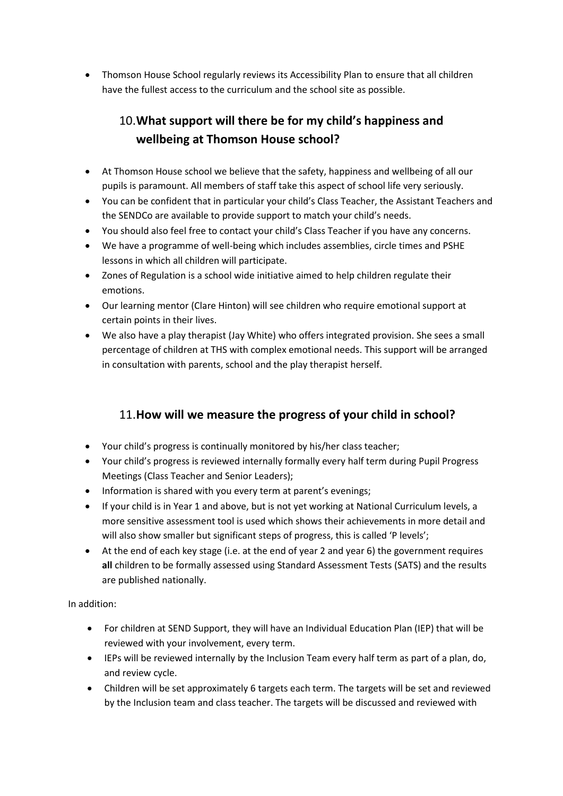Thomson House School regularly reviews its Accessibility Plan to ensure that all children have the fullest access to the curriculum and the school site as possible.

## 10.**What support will there be for my child's happiness and wellbeing at Thomson House school?**

- At Thomson House school we believe that the safety, happiness and wellbeing of all our pupils is paramount. All members of staff take this aspect of school life very seriously.
- You can be confident that in particular your child's Class Teacher, the Assistant Teachers and the SENDCo are available to provide support to match your child's needs.
- You should also feel free to contact your child's Class Teacher if you have any concerns.
- We have a programme of well-being which includes assemblies, circle times and PSHE lessons in which all children will participate.
- Zones of Regulation is a school wide initiative aimed to help children regulate their emotions.
- Our learning mentor (Clare Hinton) will see children who require emotional support at certain points in their lives.
- We also have a play therapist (Jay White) who offers integrated provision. She sees a small percentage of children at THS with complex emotional needs. This support will be arranged in consultation with parents, school and the play therapist herself.

#### 11.**How will we measure the progress of your child in school?**

- Your child's progress is continually monitored by his/her class teacher;
- Your child's progress is reviewed internally formally every half term during Pupil Progress Meetings (Class Teacher and Senior Leaders);
- Information is shared with you every term at parent's evenings;
- If your child is in Year 1 and above, but is not yet working at National Curriculum levels, a more sensitive assessment tool is used which shows their achievements in more detail and will also show smaller but significant steps of progress, this is called 'P levels';
- At the end of each key stage (i.e. at the end of year 2 and year 6) the government requires **all** children to be formally assessed using Standard Assessment Tests (SATS) and the results are published nationally.

#### In addition:

- For children at SEND Support, they will have an Individual Education Plan (IEP) that will be reviewed with your involvement, every term.
- IEPs will be reviewed internally by the Inclusion Team every half term as part of a plan, do, and review cycle.
- Children will be set approximately 6 targets each term. The targets will be set and reviewed by the Inclusion team and class teacher. The targets will be discussed and reviewed with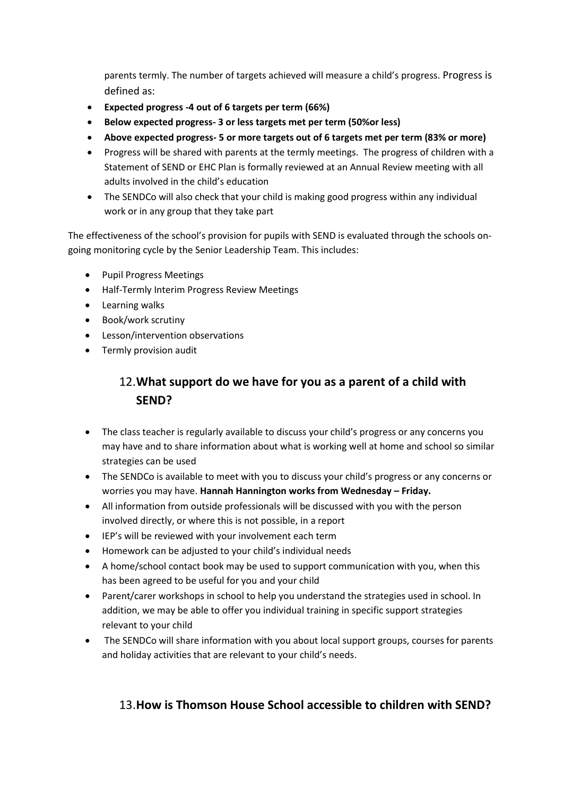parents termly. The number of targets achieved will measure a child's progress. Progress is defined as:

- **Expected progress -4 out of 6 targets per term (66%)**
- **Below expected progress- 3 or less targets met per term (50%or less)**
- **Above expected progress- 5 or more targets out of 6 targets met per term (83% or more)**
- Progress will be shared with parents at the termly meetings. The progress of children with a Statement of SEND or EHC Plan is formally reviewed at an Annual Review meeting with all adults involved in the child's education
- The SENDCo will also check that your child is making good progress within any individual work or in any group that they take part

The effectiveness of the school's provision for pupils with SEND is evaluated through the schools ongoing monitoring cycle by the Senior Leadership Team. This includes:

- Pupil Progress Meetings
- Half-Termly Interim Progress Review Meetings
- **•** Learning walks
- Book/work scrutiny
- Lesson/intervention observations
- **•** Termly provision audit

## 12.**What support do we have for you as a parent of a child with SEND?**

- The class teacher is regularly available to discuss your child's progress or any concerns you may have and to share information about what is working well at home and school so similar strategies can be used
- The SENDCo is available to meet with you to discuss your child's progress or any concerns or worries you may have. **Hannah Hannington works from Wednesday – Friday.**
- All information from outside professionals will be discussed with you with the person involved directly, or where this is not possible, in a report
- IEP's will be reviewed with your involvement each term
- Homework can be adjusted to your child's individual needs
- A home/school contact book may be used to support communication with you, when this has been agreed to be useful for you and your child
- Parent/carer workshops in school to help you understand the strategies used in school. In addition, we may be able to offer you individual training in specific support strategies relevant to your child
- The SENDCo will share information with you about local support groups, courses for parents and holiday activities that are relevant to your child's needs.

#### 13.**How is Thomson House School accessible to children with SEND?**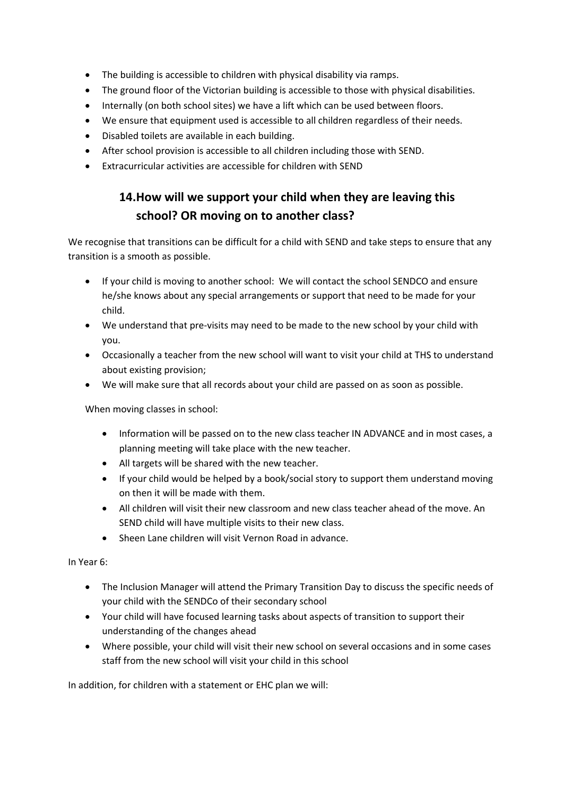- The building is accessible to children with physical disability via ramps.
- The ground floor of the Victorian building is accessible to those with physical disabilities.
- Internally (on both school sites) we have a lift which can be used between floors.
- We ensure that equipment used is accessible to all children regardless of their needs.
- Disabled toilets are available in each building.
- After school provision is accessible to all children including those with SEND.
- Extracurricular activities are accessible for children with SEND

#### **14.How will we support your child when they are leaving this school? OR moving on to another class?**

We recognise that transitions can be difficult for a child with SEND and take steps to ensure that any transition is a smooth as possible.

- If your child is moving to another school: We will contact the school SENDCO and ensure he/she knows about any special arrangements or support that need to be made for your child.
- We understand that pre-visits may need to be made to the new school by your child with you.
- Occasionally a teacher from the new school will want to visit your child at THS to understand about existing provision;
- We will make sure that all records about your child are passed on as soon as possible.

When moving classes in school:

- Information will be passed on to the new class teacher IN ADVANCE and in most cases, a planning meeting will take place with the new teacher.
- All targets will be shared with the new teacher.
- If your child would be helped by a book/social story to support them understand moving on then it will be made with them.
- All children will visit their new classroom and new class teacher ahead of the move. An SEND child will have multiple visits to their new class.
- Sheen Lane children will visit Vernon Road in advance.

In Year 6:

- The Inclusion Manager will attend the Primary Transition Day to discuss the specific needs of your child with the SENDCo of their secondary school
- Your child will have focused learning tasks about aspects of transition to support their understanding of the changes ahead
- Where possible, your child will visit their new school on several occasions and in some cases staff from the new school will visit your child in this school

In addition, for children with a statement or EHC plan we will: